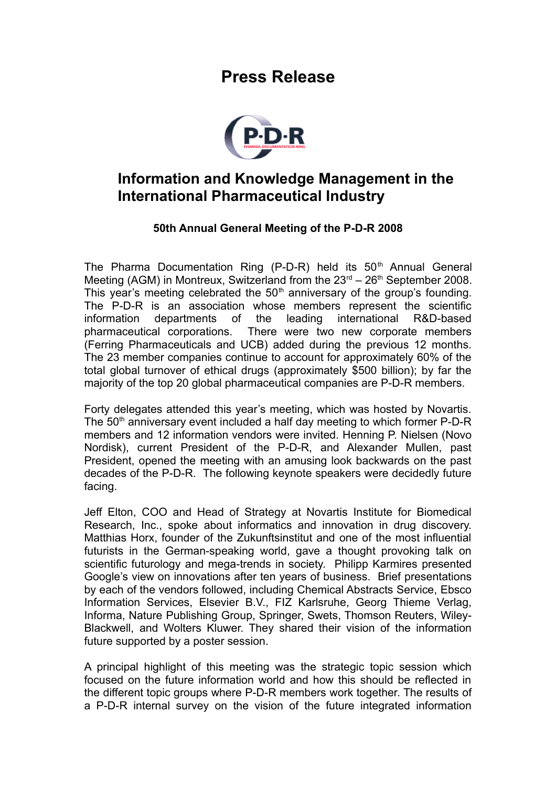## **Press Release**



## **Information and Knowledge Management in the International Pharmaceutical Industry**

## **50th Annual General Meeting of the P-D-R 2008**

The Pharma Documentation Ring (P-D-R) held its  $50<sup>th</sup>$  Annual General Meeting (AGM) in Montreux, Switzerland from the  $23<sup>rd</sup> - 26<sup>th</sup>$  September 2008. This year's meeting celebrated the  $50<sup>th</sup>$  anniversary of the group's founding. The P-D-R is an association whose members represent the scientific information departments of the leading international R&D-based pharmaceutical corporations. There were two new corporate members (Ferring Pharmaceuticals and UCB) added during the previous 12 months. The 23 member companies continue to account for approximately 60% of the total global turnover of ethical drugs (approximately \$500 billion); by far the majority of the top 20 global pharmaceutical companies are P-D-R members.

Forty delegates attended this year's meeting, which was hosted by Novartis. The  $50<sup>th</sup>$  anniversary event included a half day meeting to which former P-D-R members and 12 information vendors were invited. Henning P. Nielsen (Novo Nordisk), current President of the P-D-R, and Alexander Mullen, past President, opened the meeting with an amusing look backwards on the past decades of the P-D-R. The following keynote speakers were decidedly future facing.

Jeff Elton, COO and Head of Strategy at Novartis Institute for Biomedical Research, Inc., spoke about informatics and innovation in drug discovery. Matthias Horx, founder of the Zukunftsinstitut and one of the most influential futurists in the German-speaking world, gave a thought provoking talk on scientific futurology and mega-trends in society. Philipp Karmires presented Google's view on innovations after ten years of business. Brief presentations by each of the vendors followed, including Chemical Abstracts Service, Ebsco Information Services, Elsevier B.V., FIZ Karlsruhe, Georg Thieme Verlag, Informa, Nature Publishing Group, Springer, Swets, Thomson Reuters, Wiley-Blackwell, and Wolters Kluwer. They shared their vision of the information future supported by a poster session.

A principal highlight of this meeting was the strategic topic session which focused on the future information world and how this should be reflected in the different topic groups where P-D-R members work together. The results of a P-D-R internal survey on the vision of the future integrated information